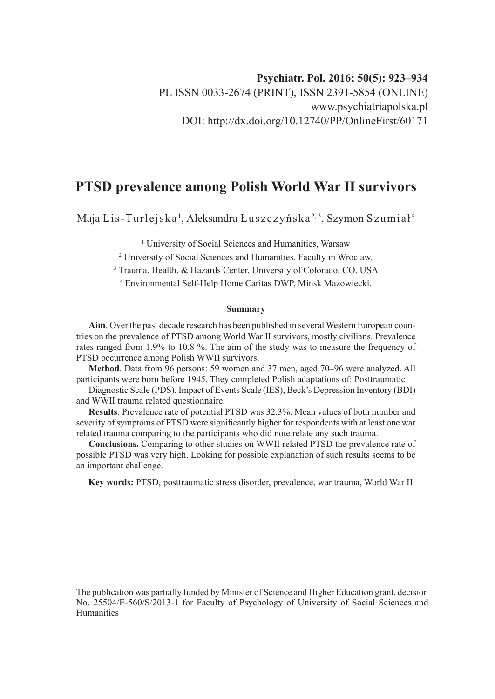# **PTSD prevalence among Polish World War II survivors**

Maja Lis-Turlejska <sup>1</sup>, Aleksandra Łuszczyńska <sup>2, 3</sup>, Szymon Szumiał <sup>4</sup>

<sup>1</sup> University of Social Sciences and Humanities, Warsaw

2 University of Social Sciences and Humanities, Faculty in Wroclaw,

3 Trauma, Health, & Hazards Center, University of Colorado, CO, USA

4 Environmental Self-Help Home Caritas DWP, Minsk Mazowiecki.

#### **Summary**

**Aim**. Over the past decade research has been published in several Western European countries on the prevalence of PTSD among World War II survivors, mostly civilians. Prevalence rates ranged from 1.9% to 10.8 %. The aim of the study was to measure the frequency of PTSD occurrence among Polish WWII survivors.

**Method**. Data from 96 persons: 59 women and 37 men, aged 70–96 were analyzed. All participants were born before 1945. They completed Polish adaptations of: Posttraumatic

Diagnostic Scale (PDS), Impact of Events Scale (IES), Beck's Depression Inventory (BDI) and WWII trauma related questionnaire.

**Results**. Prevalence rate of potential PTSD was 32.3%. Mean values of both number and severity of symptoms of PTSD were significantly higher for respondents with at least one war related trauma comparing to the participants who did note relate any such trauma.

**Conclusions.** Comparing to other studies on WWII related PTSD the prevalence rate of possible PTSD was very high. Looking for possible explanation of such results seems to be an important challenge.

**Key words:** PTSD, posttraumatic stress disorder, prevalence, war trauma, World War II

The publication was partially funded by Minister of Science and Higher Education grant, decision No. 25504/E-560/S/2013-1 for Faculty of Psychology of University of Social Sciences and Humanities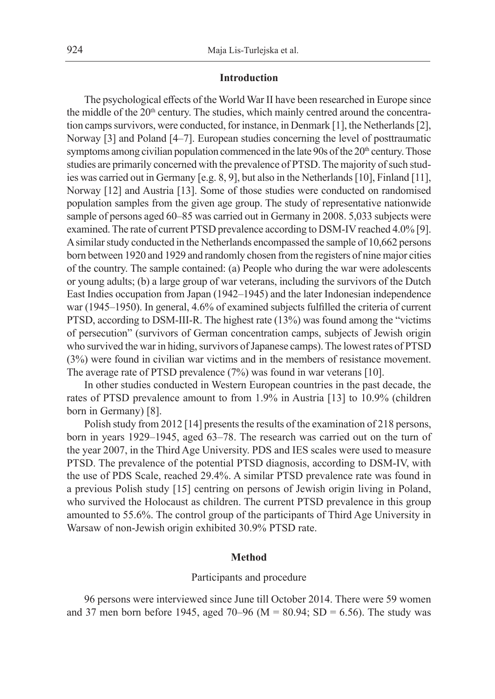## **Introduction**

The psychological effects of the World War II have been researched in Europe since the middle of the  $20<sup>th</sup>$  century. The studies, which mainly centred around the concentration camps survivors, were conducted, for instance, in Denmark [1], the Netherlands [2], Norway [3] and Poland [4–7]. European studies concerning the level of posttraumatic symptoms among civilian population commenced in the late 90s of the  $20<sup>th</sup>$  century. Those studies are primarily concerned with the prevalence of PTSD. The majority of such studies was carried out in Germany [e.g. 8, 9], but also in the Netherlands [10], Finland [11], Norway [12] and Austria [13]. Some of those studies were conducted on randomised population samples from the given age group. The study of representative nationwide sample of persons aged 60–85 was carried out in Germany in 2008. 5,033 subjects were examined. The rate of current PTSD prevalence according to DSM-IV reached 4.0% [9]. A similar study conducted in the Netherlands encompassed the sample of 10,662 persons born between 1920 and 1929 and randomly chosen from the registers of nine major cities of the country. The sample contained: (a) People who during the war were adolescents or young adults; (b) a large group of war veterans, including the survivors of the Dutch East Indies occupation from Japan (1942–1945) and the later Indonesian independence war (1945–1950). In general, 4.6% of examined subjects fulfilled the criteria of current PTSD, according to DSM-III-R. The highest rate (13%) was found among the "victims of persecution" (survivors of German concentration camps, subjects of Jewish origin who survived the war in hiding, survivors of Japanese camps). The lowest rates of PTSD (3%) were found in civilian war victims and in the members of resistance movement. The average rate of PTSD prevalence (7%) was found in war veterans [10].

In other studies conducted in Western European countries in the past decade, the rates of PTSD prevalence amount to from 1.9% in Austria [13] to 10.9% (children born in Germany) [8].

Polish study from 2012 [14] presents the results of the examination of 218 persons, born in years 1929–1945, aged 63–78. The research was carried out on the turn of the year 2007, in the Third Age University. PDS and IES scales were used to measure PTSD. The prevalence of the potential PTSD diagnosis, according to DSM-IV, with the use of PDS Scale, reached 29.4%. A similar PTSD prevalence rate was found in a previous Polish study [15] centring on persons of Jewish origin living in Poland, who survived the Holocaust as children. The current PTSD prevalence in this group amounted to 55.6%. The control group of the participants of Third Age University in Warsaw of non-Jewish origin exhibited 30.9% PTSD rate.

## **Method**

#### Participants and procedure

96 persons were interviewed since June till October 2014. There were 59 women and 37 men born before 1945, aged 70–96 ( $M = 80.94$ ; SD = 6.56). The study was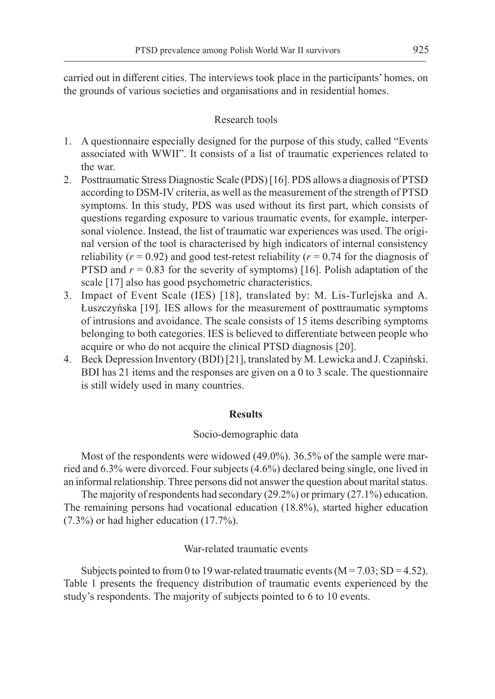carried out in different cities. The interviews took place in the participants' homes, on the grounds of various societies and organisations and in residential homes.

## Research tools

- 1. A questionnaire especially designed for the purpose of this study, called "Events associated with WWII". It consists of a list of traumatic experiences related to the war.
- 2. Posttraumatic Stress Diagnostic Scale (PDS) [16]. PDS allows a diagnosis of PTSD according to DSM-IV criteria, as well as the measurement of the strength of PTSD symptoms. In this study, PDS was used without its first part, which consists of questions regarding exposure to various traumatic events, for example, interpersonal violence. Instead, the list of traumatic war experiences was used. The original version of the tool is characterised by high indicators of internal consistency reliability ( $r = 0.92$ ) and good test-retest reliability ( $r = 0.74$  for the diagnosis of PTSD and  $r = 0.83$  for the severity of symptoms) [16]. Polish adaptation of the scale [17] also has good psychometric characteristics.
- 3. Impact of Event Scale (IES) [18], translated by: M. Lis-Turlejska and A. Łuszczyńska [19]. IES allows for the measurement of posttraumatic symptoms of intrusions and avoidance. The scale consists of 15 items describing symptoms belonging to both categories. IES is believed to differentiate between people who acquire or who do not acquire the clinical PTSD diagnosis [20].
- 4. Beck Depression Inventory (BDI) [21], translated by M. Lewicka and J. Czapiński. BDI has 21 items and the responses are given on a 0 to 3 scale. The questionnaire is still widely used in many countries.

## **Results**

#### Socio-demographic data

Most of the respondents were widowed (49.0%). 36.5% of the sample were married and 6.3% were divorced. Four subjects (4.6%) declared being single, one lived in an informal relationship. Three persons did not answer the question about marital status.

The majority of respondents had secondary (29.2%) or primary (27.1%) education. The remaining persons had vocational education (18.8%), started higher education (7.3%) or had higher education (17.7%).

## War-related traumatic events

Subjects pointed to from 0 to 19 war-related traumatic events  $(M = 7.03; SD = 4.52)$ . Table 1 presents the frequency distribution of traumatic events experienced by the study's respondents. The majority of subjects pointed to 6 to 10 events.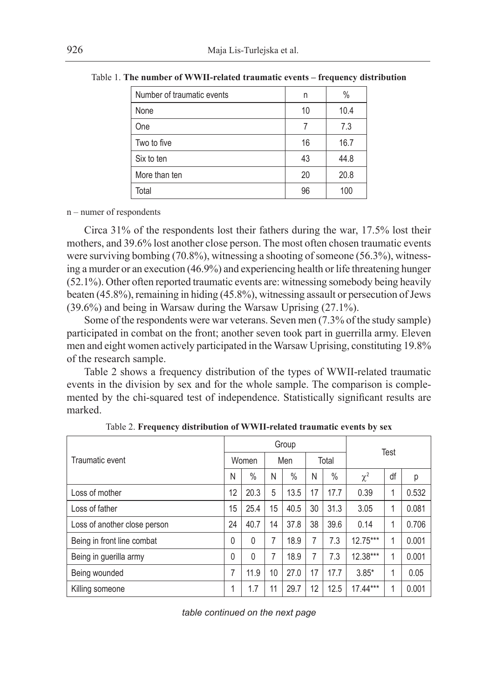| Number of traumatic events | n  | $\%$ |
|----------------------------|----|------|
|                            |    |      |
| None                       | 10 | 10.4 |
| One                        | 7  | 7.3  |
| Two to five                | 16 | 16.7 |
| Six to ten                 | 43 | 44.8 |
| More than ten              | 20 | 20.8 |
| Total                      | 96 | 100  |

Table 1. **The number of WWII-related traumatic events – frequency distribution**

n – numer of respondents

Circa 31% of the respondents lost their fathers during the war, 17.5% lost their mothers, and 39.6% lost another close person. The most often chosen traumatic events were surviving bombing (70.8%), witnessing a shooting of someone (56.3%), witnessing a murder or an execution (46.9%) and experiencing health or life threatening hunger (52.1%). Other often reported traumatic events are: witnessing somebody being heavily beaten (45.8%), remaining in hiding (45.8%), witnessing assault or persecution of Jews (39.6%) and being in Warsaw during the Warsaw Uprising (27.1%).

Some of the respondents were war veterans. Seven men (7.3% of the study sample) participated in combat on the front; another seven took part in guerrilla army. Eleven men and eight women actively participated in the Warsaw Uprising, constituting 19.8% of the research sample.

Table 2 shows a frequency distribution of the types of WWII-related traumatic events in the division by sex and for the whole sample. The comparison is complemented by the chi-squared test of independence. Statistically significant results are marked.

|                              | Group |       |    |      |    |       | Test       |    |       |
|------------------------------|-------|-------|----|------|----|-------|------------|----|-------|
| Traumatic event              |       | Women |    | Men  |    | Total |            |    |       |
|                              | N     | $\%$  | N  | $\%$ | Ν  | $\%$  | $\chi^2$   | df | р     |
| Loss of mother               | 12    | 20.3  | 5  | 13.5 | 17 | 17.7  | 0.39       |    | 0.532 |
| Loss of father               | 15    | 25.4  | 15 | 40.5 | 30 | 31.3  | 3.05       |    | 0.081 |
| Loss of another close person | 24    | 40.7  | 14 | 37.8 | 38 | 39.6  | 0.14       |    | 0.706 |
| Being in front line combat   | 0     | 0     | 7  | 18.9 | 7  | 7.3   | $12.75***$ |    | 0.001 |
| Being in guerilla army       | 0     | 0     | 7  | 18.9 | 7  | 7.3   | $12.38***$ |    | 0.001 |
| Being wounded                | 7     | 11.9  | 10 | 27.0 | 17 | 17.7  | $3.85*$    |    | 0.05  |
| Killing someone              | 4     | 1.7   | 11 | 29.7 | 12 | 12.5  | $17.44***$ |    | 0.001 |

Table 2. **Frequency distribution of WWII-related traumatic events by sex**

*table continued on the next page*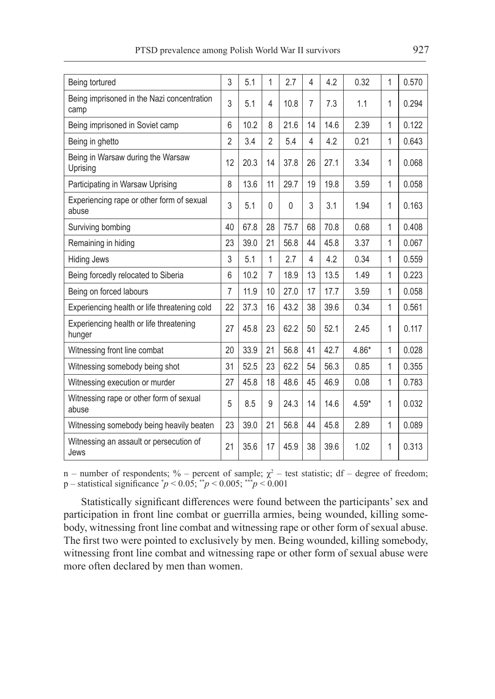| Being tortured                                     | 3  | 5.1  | $\mathbf 1$    | 2.7  | 4              | 4.2  | 0.32    | 1            | 0.570 |
|----------------------------------------------------|----|------|----------------|------|----------------|------|---------|--------------|-------|
| Being imprisoned in the Nazi concentration<br>camp | 3  | 5.1  | 4              | 10.8 | 7              | 7.3  | 1.1     | 1            | 0.294 |
| Being imprisoned in Soviet camp                    | 6  | 10.2 | 8              | 21.6 | 14             | 14.6 | 2.39    | 1            | 0.122 |
| Being in ghetto                                    | 2  | 3.4  | $\overline{2}$ | 5.4  | 4              | 4.2  | 0.21    | 1            | 0.643 |
| Being in Warsaw during the Warsaw<br>Uprising      | 12 | 20.3 | 14             | 37.8 | 26             | 27.1 | 3.34    | 1            | 0.068 |
| Participating in Warsaw Uprising                   | 8  | 13.6 | 11             | 29.7 | 19             | 19.8 | 3.59    | 1            | 0.058 |
| Experiencing rape or other form of sexual<br>abuse | 3  | 5.1  | $\mathbf{0}$   | 0    | 3              | 3.1  | 1.94    | 1            | 0.163 |
| Surviving bombing                                  | 40 | 67.8 | 28             | 75.7 | 68             | 70.8 | 0.68    | 1            | 0.408 |
| Remaining in hiding                                | 23 | 39.0 | 21             | 56.8 | 44             | 45.8 | 3.37    | 1            | 0.067 |
| <b>Hiding Jews</b>                                 | 3  | 5.1  | $\mathbf 1$    | 2.7  | $\overline{4}$ | 4.2  | 0.34    | 1            | 0.559 |
| Being forcedly relocated to Siberia                | 6  | 10.2 | $\overline{7}$ | 18.9 | 13             | 13.5 | 1.49    | 1            | 0.223 |
| Being on forced labours                            | 7  | 11.9 | 10             | 27.0 | 17             | 17.7 | 3.59    | 1            | 0.058 |
| Experiencing health or life threatening cold       | 22 | 37.3 | 16             | 43.2 | 38             | 39.6 | 0.34    | $\mathbf{1}$ | 0.561 |
| Experiencing health or life threatening<br>hunger  | 27 | 45.8 | 23             | 62.2 | 50             | 52.1 | 2.45    | 1            | 0.117 |
| Witnessing front line combat                       | 20 | 33.9 | 21             | 56.8 | 41             | 42.7 | 4.86*   | 1            | 0.028 |
| Witnessing somebody being shot                     | 31 | 52.5 | 23             | 62.2 | 54             | 56.3 | 0.85    | 1            | 0.355 |
| Witnessing execution or murder                     | 27 | 45.8 | 18             | 48.6 | 45             | 46.9 | 0.08    | 1            | 0.783 |
| Witnessing rape or other form of sexual<br>abuse   | 5  | 8.5  | 9              | 24.3 | 14             | 14.6 | $4.59*$ | 1            | 0.032 |
| Witnessing somebody being heavily beaten           | 23 | 39.0 | 21             | 56.8 | 44             | 45.8 | 2.89    | 1            | 0.089 |
| Witnessing an assault or persecution of<br>Jews    | 21 | 35.6 | 17             | 45.9 | 38             | 39.6 | 1.02    | 1            | 0.313 |

n – number of respondents; % – percent of sample;  $\chi^2$  – test statistic; df – degree of freedom; p – statistical significance \* *p* < 0.05; \*\**p* < 0.005; \*\*\**p* < 0.001

Statistically significant differences were found between the participants' sex and participation in front line combat or guerrilla armies, being wounded, killing somebody, witnessing front line combat and witnessing rape or other form of sexual abuse. The first two were pointed to exclusively by men. Being wounded, killing somebody, witnessing front line combat and witnessing rape or other form of sexual abuse were more often declared by men than women.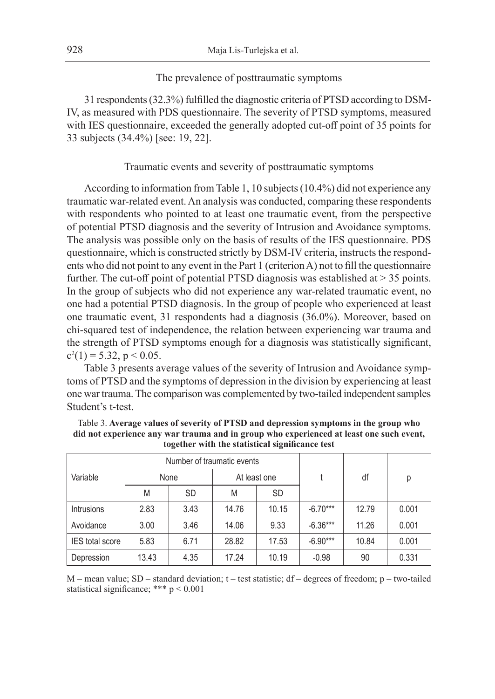## The prevalence of posttraumatic symptoms

31 respondents (32.3%) fulfilled the diagnostic criteria of PTSD according to DSM-IV, as measured with PDS questionnaire. The severity of PTSD symptoms, measured with IES questionnaire, exceeded the generally adopted cut-off point of 35 points for 33 subjects (34.4%) [see: 19, 22].

## Traumatic events and severity of posttraumatic symptoms

According to information from Table 1, 10 subjects (10.4%) did not experience any traumatic war-related event. An analysis was conducted, comparing these respondents with respondents who pointed to at least one traumatic event, from the perspective of potential PTSD diagnosis and the severity of Intrusion and Avoidance symptoms. The analysis was possible only on the basis of results of the IES questionnaire. PDS questionnaire, which is constructed strictly by DSM-IV criteria, instructs the respondents who did not point to any event in the Part 1 (criterion A) not to fill the questionnaire further. The cut-off point of potential PTSD diagnosis was established at  $>$  35 points. In the group of subjects who did not experience any war-related traumatic event, no one had a potential PTSD diagnosis. In the group of people who experienced at least one traumatic event, 31 respondents had a diagnosis (36.0%). Moreover, based on chi-squared test of independence, the relation between experiencing war trauma and the strength of PTSD symptoms enough for a diagnosis was statistically significant,  $c^2(1) = 5.32$ ,  $p < 0.05$ .

Table 3 presents average values of the severity of Intrusion and Avoidance symptoms of PTSD and the symptoms of depression in the division by experiencing at least one war trauma. The comparison was complemented by two-tailed independent samples Student's t-test.

|                        |       | Number of traumatic events |              |           |            |       |       |  |
|------------------------|-------|----------------------------|--------------|-----------|------------|-------|-------|--|
| Variable               |       | None                       | At least one |           |            | df    | р     |  |
|                        | M     | <b>SD</b>                  | M            | <b>SD</b> |            |       |       |  |
| <b>Intrusions</b>      | 2.83  | 3.43                       | 14.76        | 10.15     | $-6.70***$ | 12.79 | 0.001 |  |
| Avoidance              | 3.00  | 3.46                       | 14.06        | 9.33      | $-6.36***$ | 11.26 | 0.001 |  |
| <b>IES</b> total score | 5.83  | 6.71                       | 28.82        | 17.53     | $-6.90***$ | 10.84 | 0.001 |  |
| Depression             | 13.43 | 4.35                       | 17.24        | 10.19     | $-0.98$    | 90    | 0.331 |  |

Table 3. **Average values of severity of PTSD and depression symptoms in the group who did not experience any war trauma and in group who experienced at least one such event, together with the statistical significance test**

M – mean value; SD – standard deviation; t – test statistic; df – degrees of freedom; p – two-tailed statistical significance; \*\*\* p < 0.001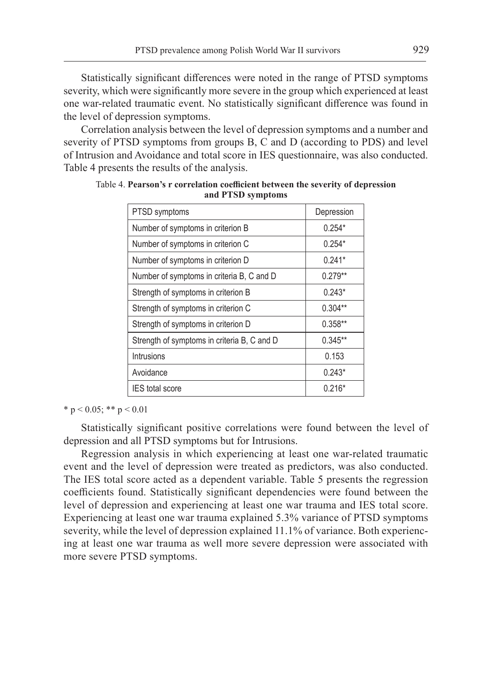Statistically significant differences were noted in the range of PTSD symptoms severity, which were significantly more severe in the group which experienced at least one war-related traumatic event. No statistically significant difference was found in the level of depression symptoms.

Correlation analysis between the level of depression symptoms and a number and severity of PTSD symptoms from groups B, C and D (according to PDS) and level of Intrusion and Avoidance and total score in IES questionnaire, was also conducted. Table 4 presents the results of the analysis.

| PTSD symptoms                               | Depression |
|---------------------------------------------|------------|
| Number of symptoms in criterion B           | $0.254*$   |
| Number of symptoms in criterion C           | $0.254*$   |
| Number of symptoms in criterion D           | $0.241*$   |
| Number of symptoms in criteria B, C and D   | $0.279**$  |
| Strength of symptoms in criterion B         | $0.243*$   |
| Strength of symptoms in criterion C         | $0.304**$  |
| Strength of symptoms in criterion D         | $0.358**$  |
| Strength of symptoms in criteria B, C and D | $0.345**$  |
| Intrusions                                  | 0.153      |
| Avoidance                                   | $0.243*$   |
| <b>IES</b> total score                      | $0.216*$   |

Table 4. **Pearson's r correlation coefficient between the severity of depression and PTSD symptoms**

\* p < 0.05; \*\* p < 0.01

Statistically significant positive correlations were found between the level of depression and all PTSD symptoms but for Intrusions.

Regression analysis in which experiencing at least one war-related traumatic event and the level of depression were treated as predictors, was also conducted. The IES total score acted as a dependent variable. Table 5 presents the regression coefficients found. Statistically significant dependencies were found between the level of depression and experiencing at least one war trauma and IES total score. Experiencing at least one war trauma explained 5.3% variance of PTSD symptoms severity, while the level of depression explained 11.1% of variance. Both experiencing at least one war trauma as well more severe depression were associated with more severe PTSD symptoms.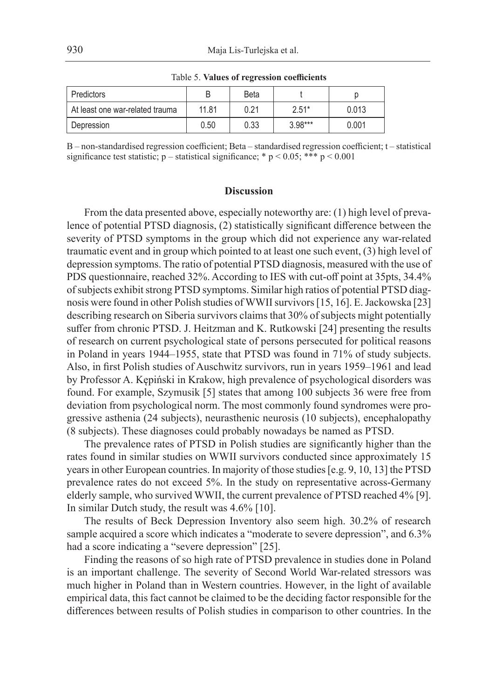| Predictors                      |       | <b>Beta</b> |           |       |
|---------------------------------|-------|-------------|-----------|-------|
| At least one war-related trauma | 11.81 | 0.21        | $2.51*$   | 0.013 |
| Depression                      | 0.50  | 0.33        | $3.98***$ | 0.001 |

Table 5. **Values of regression coefficients**

B – non-standardised regression coefficient; Beta – standardised regression coefficient; t – statistical significance test statistic; p – statistical significance; \* p < 0.05; \*\*\* p < 0.001

## **Discussion**

From the data presented above, especially noteworthy are: (1) high level of prevalence of potential PTSD diagnosis, (2) statistically significant difference between the severity of PTSD symptoms in the group which did not experience any war-related traumatic event and in group which pointed to at least one such event, (3) high level of depression symptoms. The ratio of potential PTSD diagnosis, measured with the use of PDS questionnaire, reached 32%. According to IES with cut-off point at 35pts, 34.4% of subjects exhibit strong PTSD symptoms. Similar high ratios of potential PTSD diagnosis were found in other Polish studies of WWII survivors [15, 16]. E. Jackowska [23] describing research on Siberia survivors claims that 30% of subjects might potentially suffer from chronic PTSD. J. Heitzman and K. Rutkowski [24] presenting the results of research on current psychological state of persons persecuted for political reasons in Poland in years 1944–1955, state that PTSD was found in 71% of study subjects. Also, in first Polish studies of Auschwitz survivors, run in years 1959–1961 and lead by Professor A. Kępiński in Krakow, high prevalence of psychological disorders was found. For example, Szymusik [5] states that among 100 subjects 36 were free from deviation from psychological norm. The most commonly found syndromes were progressive asthenia (24 subjects), neurasthenic neurosis (10 subjects), encephalopathy (8 subjects). These diagnoses could probably nowadays be named as PTSD.

The prevalence rates of PTSD in Polish studies are significantly higher than the rates found in similar studies on WWII survivors conducted since approximately 15 years in other European countries. In majority of those studies [e.g. 9, 10, 13] the PTSD prevalence rates do not exceed 5%. In the study on representative across-Germany elderly sample, who survived WWII, the current prevalence of PTSD reached 4% [9]. In similar Dutch study, the result was 4.6% [10].

The results of Beck Depression Inventory also seem high. 30.2% of research sample acquired a score which indicates a "moderate to severe depression", and 6.3% had a score indicating a "severe depression" [25].

Finding the reasons of so high rate of PTSD prevalence in studies done in Poland is an important challenge. The severity of Second World War-related stressors was much higher in Poland than in Western countries. However, in the light of available empirical data, this fact cannot be claimed to be the deciding factor responsible for the differences between results of Polish studies in comparison to other countries. In the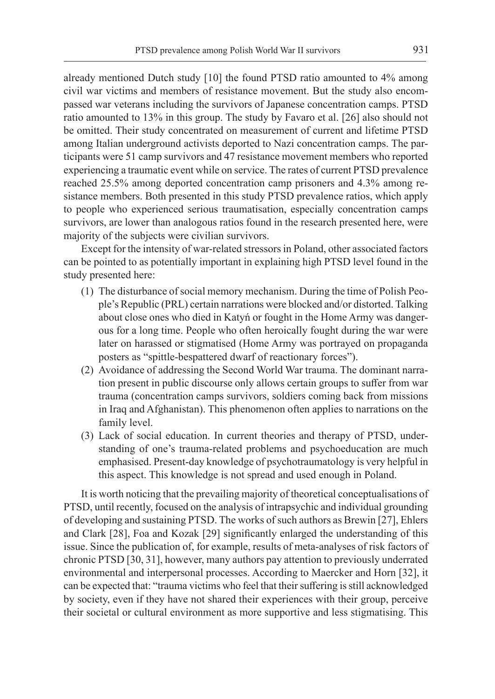already mentioned Dutch study [10] the found PTSD ratio amounted to 4% among civil war victims and members of resistance movement. But the study also encompassed war veterans including the survivors of Japanese concentration camps. PTSD ratio amounted to 13% in this group. The study by Favaro et al. [26] also should not be omitted. Their study concentrated on measurement of current and lifetime PTSD among Italian underground activists deported to Nazi concentration camps. The participants were 51 camp survivors and 47 resistance movement members who reported experiencing a traumatic event while on service. The rates of current PTSD prevalence reached 25.5% among deported concentration camp prisoners and 4.3% among resistance members. Both presented in this study PTSD prevalence ratios, which apply to people who experienced serious traumatisation, especially concentration camps survivors, are lower than analogous ratios found in the research presented here, were majority of the subjects were civilian survivors.

Except for the intensity of war-related stressors in Poland, other associated factors can be pointed to as potentially important in explaining high PTSD level found in the study presented here:

- (1) The disturbance of social memory mechanism. During the time of Polish People's Republic (PRL) certain narrations were blocked and/or distorted. Talking about close ones who died in Katyń or fought in the Home Army was dangerous for a long time. People who often heroically fought during the war were later on harassed or stigmatised (Home Army was portrayed on propaganda posters as "spittle-bespattered dwarf of reactionary forces").
- (2) Avoidance of addressing the Second World War trauma. The dominant narration present in public discourse only allows certain groups to suffer from war trauma (concentration camps survivors, soldiers coming back from missions in Iraq and Afghanistan). This phenomenon often applies to narrations on the family level.
- (3) Lack of social education. In current theories and therapy of PTSD, understanding of one's trauma-related problems and psychoeducation are much emphasised. Present-day knowledge of psychotraumatology is very helpful in this aspect. This knowledge is not spread and used enough in Poland.

It is worth noticing that the prevailing majority of theoretical conceptualisations of PTSD, until recently, focused on the analysis of intrapsychic and individual grounding of developing and sustaining PTSD. The works of such authors as Brewin [27], Ehlers and Clark [28], Foa and Kozak [29] significantly enlarged the understanding of this issue. Since the publication of, for example, results of meta-analyses of risk factors of chronic PTSD [30, 31], however, many authors pay attention to previously underrated environmental and interpersonal processes. According to Maercker and Horn [32], it can be expected that: "trauma victims who feel that their suffering is still acknowledged by society, even if they have not shared their experiences with their group, perceive their societal or cultural environment as more supportive and less stigmatising. This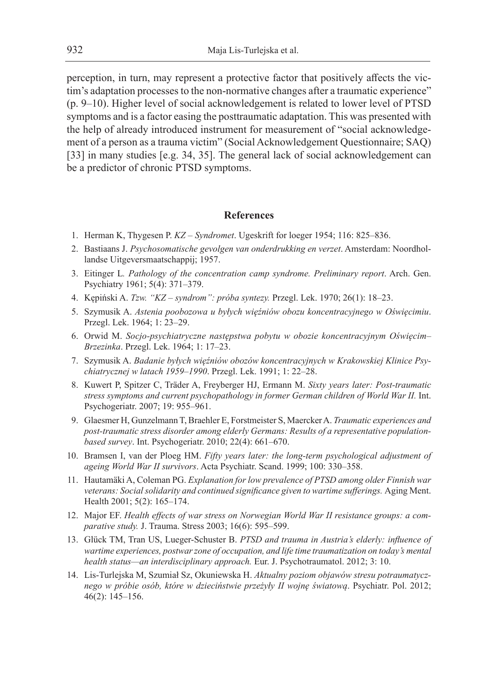perception, in turn, may represent a protective factor that positively affects the victim's adaptation processes to the non-normative changes after a traumatic experience" (p. 9–10). Higher level of social acknowledgement is related to lower level of PTSD symptoms and is a factor easing the posttraumatic adaptation. This was presented with the help of already introduced instrument for measurement of "social acknowledgement of a person as a trauma victim" (Social Acknowledgement Questionnaire; SAQ) [33] in many studies [e.g. 34, 35]. The general lack of social acknowledgement can be a predictor of chronic PTSD symptoms.

#### **References**

- 1. Herman K, Thygesen P. *KZ Syndromet*. Ugeskrift for loeger 1954; 116: 825–836.
- 2. Bastiaans J. *Psychosomatische gevolgen van onderdrukking en verzet*. Amsterdam: Noordhollandse Uitgeversmaatschappij; 1957.
- 3. Eitinger L*. Pathology of the concentration camp syndrome. Preliminary report*. Arch. Gen. Psychiatry 1961; 5(4): 371–379.
- 4. Kępiński A. *Tzw. "KZ syndrom": próba syntezy.* Przegl. Lek. 1970; 26(1): 18–23.
- 5. Szymusik A. *Astenia poobozowa u byłych więźniów obozu koncentracyjnego w Oświęcimiu*. Przegl. Lek. 1964; 1: 23–29.
- 6. Orwid M. *Socjo-psychiatryczne następstwa pobytu w obozie koncentracyjnym Oświęcim– Brzezinka*. Przegl. Lek. 1964; 1: 17–23.
- 7. Szymusik A. *Badanie byłych więźniów obozów koncentracyjnych w Krakowskiej Klinice Psychiatrycznej w latach 1959–1990*. Przegl. Lek. 1991; 1: 22–28.
- 8. Kuwert P, Spitzer C, Träder A, Freyberger HJ, Ermann M. *Sixty years later: Post-traumatic stress symptoms and current psychopathology in former German children of World War II.* Int. Psychogeriatr. 2007; 19: 955–961.
- 9. Glaesmer H, Gunzelmann T, Braehler E, Forstmeister S, Maercker A. *Traumatic experiences and post-traumatic stress disorder among elderly Germans: Results of a representative populationbased survey*. Int. Psychogeriatr. 2010; 22(4): 661–670.
- 10. Bramsen I, van der Ploeg HM. *Fifty years later: the long-term psychological adjustment of ageing World War II survivors*. Acta Psychiatr. Scand. 1999; 100: 330–358.
- 11. Hautamäki A, Coleman PG. *Explanation for low prevalence of PTSD among older Finnish war veterans: Social solidarity and continued significance given to wartime sufferings. Aging Ment.* Health 2001; 5(2): 165–174.
- 12. Major EF. *Health effects of war stress on Norwegian World War II resistance groups: a comparative study.* J. Trauma. Stress 2003; 16(6): 595–599.
- 13. Glück TM, Tran US, Lueger-Schuster B. *PTSD and trauma in Austria's elderly: influence of wartime experiences, postwar zone of occupation, and life time traumatization on today's mental health status—an interdisciplinary approach.* Eur. J. Psychotraumatol. 2012; 3: 10.
- 14. Lis-Turlejska M, Szumiał Sz, Okuniewska H. *Aktualny poziom objawów stresu potraumatycznego w próbie osób, które w dzieciństwie przeżyły II wojnę światową*. Psychiatr. Pol. 2012; 46(2): 145–156.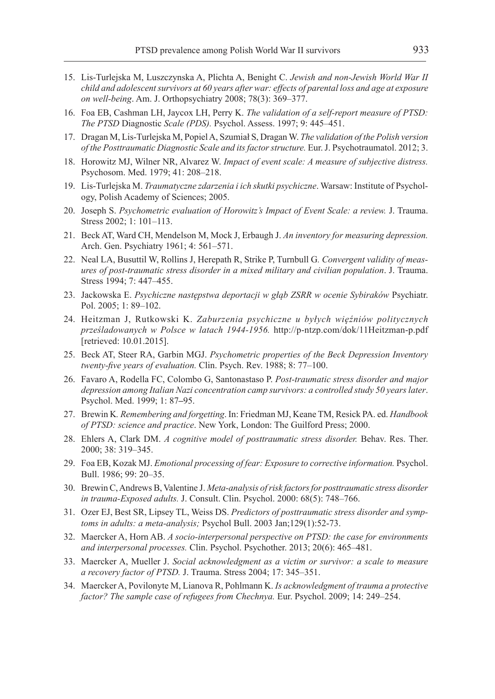- 15. Lis-Turlejska M, Luszczynska A, Plichta A, Benight C. *Jewish and non-Jewish World War II child and adolescent survivors at 60 years after war: effects of parental loss and age at exposure on well-being*. Am. J. Orthopsychiatry 2008; 78(3): 369–377.
- 16. Foa EB, Cashman LH, Jaycox LH, Perry K. *The validation of a self-report measure of PTSD: The PTSD* Diagnostic *Scale (PDS).* Psychol. Assess. 1997; 9: 445–451.
- 17. Dragan M, Lis-Turlejska M, Popiel A, Szumiał S, Dragan W. *The validation of the Polish version of the Posttraumatic Diagnostic Scale and its factor structure.* Eur. J. Psychotraumatol. 2012; 3.
- 18. Horowitz MJ, Wilner NR, Alvarez W. *Impact of event scale: A measure of subjective distress.*  Psychosom. Med. 1979; 41: 208–218.
- 19. Lis-Turlejska M. *Traumatyczne zdarzenia i ich skutki psychiczne*. Warsaw: Institute of Psychology, Polish Academy of Sciences; 2005.
- 20. Joseph S. *Psychometric evaluation of Horowitz's Impact of Event Scale: a review.* J. Trauma. Stress 2002; 1: 101–113.
- 21. Beck AT, Ward CH, Mendelson M, Mock J, Erbaugh J. *An inventory for measuring depression.*  Arch. Gen. Psychiatry 1961; 4: 561–571.
- 22. Neal LA, Busuttil W, Rollins J, Herepath R, Strike P, Turnbull G*. Convergent validity of measures of post-traumatic stress disorder in a mixed military and civilian population*. J. Trauma. Stress 1994; 7: 447–455.
- 23. Jackowska E. *Psychiczne następstwa deportacji w głąb ZSRR w ocenie Sybiraków* Psychiatr. Pol. 2005; 1: 89–102.
- 24. Heitzman J, Rutkowski K. *Zaburzenia psychiczne u byłych więźniów politycznych prześladowanych w Polsce w latach 1944-1956.* http://p-ntzp.com/dok/11Heitzman-p.pdf [retrieved: 10.01.2015].
- 25. Beck AT, Steer RA, Garbin MGJ. *Psychometric properties of the Beck Depression Inventory twenty-five years of evaluation.* Clin. Psych. Rev. 1988; 8: 77–100.
- 26. Favaro A, Rodella FC, Colombo G, Santonastaso P. *Post-traumatic stress disorder and major depression among Italian Nazi concentration camp survivors: a controlled study 50 years later*. Psychol. Med. 1999; 1: 87**–**95.
- 27. Brewin K*. Remembering and forgetting*. In: Friedman MJ, Keane TM, Resick PA. ed. *Handbook of PTSD: science and practice*. New York, London: The Guilford Press; 2000.
- 28. Ehlers A, Clark DM. *A cognitive model of posttraumatic stress disorder.* Behav. Res. Ther. 2000; 38: 319–345.
- 29. Foa EB, Kozak MJ. *Emotional processing of fear: Exposure to corrective information.* Psychol. Bull. 1986; 99: 20–35.
- 30. Brewin C, Andrews B, Valentine J. *Meta-analysis of risk factors for posttraumatic stress disorder in trauma-Exposed adults.* J. Consult. Clin. Psychol. 2000: 68(5): 748–766.
- 31. Ozer EJ, Best SR, Lipsey TL, Weiss DS. *Predictors of posttraumatic stress disorder and symptoms in adults: a meta-analysis;* Psychol Bull. 2003 Jan;129(1):52-73.
- 32. Maercker A, Horn AB. *A socio-interpersonal perspective on PTSD: the case for environments and interpersonal processes.* Clin. Psychol. Psychother. 2013; 20(6): 465–481.
- 33. Maercker A, Mueller J. *Social acknowledgment as a victim or survivor: a scale to measure a recovery factor of PTSD.* J. Trauma. Stress 2004; 17: 345–351.
- 34. Maercker A, Povilonyte M, Lianova R, Pohlmann K. *Is acknowledgment of trauma a protective factor? The sample case of refugees from Chechnya.* Eur. Psychol. 2009; 14: 249–254.